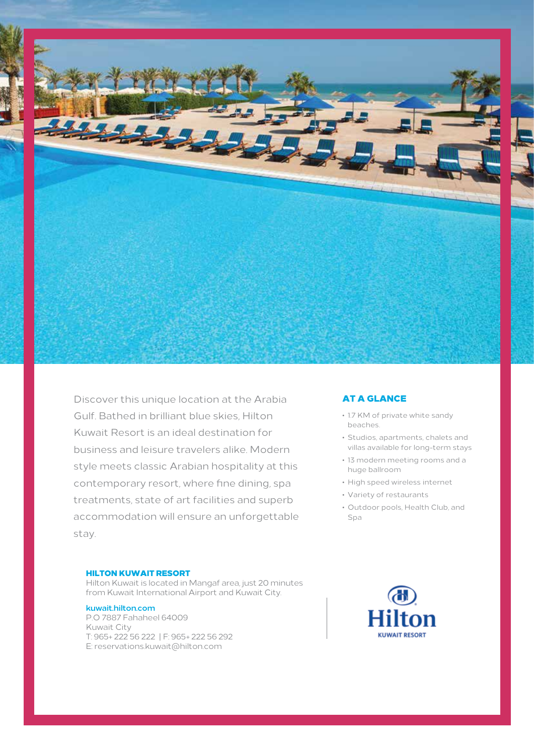

Discover this unique location at the Arabia Gulf. Bathed in brilliant blue skies, Hilton Kuwait Resort is an ideal destination for business and leisure travelers alike. Modern style meets classic Arabian hospitality at this contemporary resort, where fine dining, spa treatments, state of art facilities and superb accommodation will ensure an unforgettable stay.

## HILTON KUWAIT RESORT

Hilton Kuwait is located in Mangaf area, just 20 minutes from Kuwait International Airport and Kuwait City.

## **kuwait.hilton.com**

P.O 7887 Fahaheel 64009 E: reservations.kuwait@hilton.com T: 965+ 222 56 222 | F: 965+ 222 56 292 Kuwait City

# AT A GLANCE

- 1.7 KM of private white sandy beaches.
- Studios, apartments, chalets and villas available for long-term stays
- 13 modern meeting rooms and a huge ballroom
- High speed wireless internet
- Variety of restaurants
- Outdoor pools, Health Club, and Spa